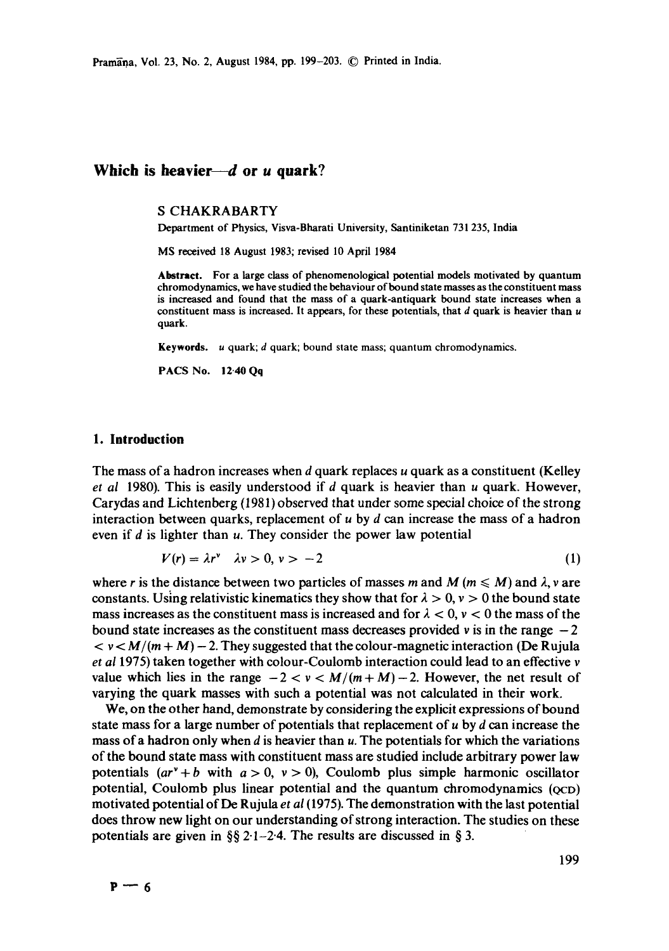Pramāņa, Vol. 23, No. 2, August 1984, pp. 199-203. © Printed in India.

# Which is heavier—*d* or *u* quark?

#### **S** CHAKRABARTY

Department of Physics, Visva-Bharati University, Santiniketan 731 235, India

MS received 18 August 1983; revised 10 April 1984

**Abstract.** For a large class of phenomenological potential models motivated by quantum chromodynamics, we have studied the behaviour of bound state masses as the constituent mass is increased and found that the mass of a quark-antiquark bound state increases when a constituent mass is increased. It appears, for these potentials, that  $d$  quark is heavier than  $u$ quark.

**Keywords.**  $u$  quark;  $d$  quark; bound state mass; quantum chromodynamics.

PACS No. 12.40 Qq

## **1. Introduction**

The mass of a hadron increases when  $d$  quark replaces  $u$  quark as a constituent (Kelley *et al* 1980). This is easily understood if d quark is heavier than u quark. However, Carydas and Lichtenberg (1981) observed that under some special choice of the strong interaction between quarks, replacement of  $u$  by  $d$  can increase the mass of a hadron even if  $d$  is lighter than  $u$ . They consider the power law potential

$$
V(r) = \lambda r^{\nu} \quad \lambda \nu > 0, \nu > -2 \tag{1}
$$

where r is the distance between two particles of masses m and M ( $m \le M$ ) and  $\lambda$ , v are constants. Using relativistic kinematics they show that for  $\lambda > 0$ ,  $\nu > 0$  the bound state mass increases as the constituent mass is increased and for  $\lambda < 0$ ,  $\nu < 0$  the mass of the bound state increases as the constituent mass decreases provided  $\nu$  is in the range  $-2$  $\langle v \rangle \langle M/(m+M) - 2$ . They suggested that the colour-magnetic interaction (De Rujula *et al* 1975) taken together with colour-Coulomb interaction could lead to an effective v value which lies in the range  $-2 < v < M/(m+M) - 2$ . However, the net result of varying the quark masses with such a potential was not calculated in their work.

We, on the other hand, demonstrate by considering the explicit expressions of bound state mass for a large number of potentials that replacement of  $u$  by  $d$  can increase the mass of a hadron only when  $d$  is heavier than  $u$ . The potentials for which the variations of the bound state mass with constituent mass are studied include arbitrary power law potentials  $(ar^{\nu}+b$  with  $a > 0$ ,  $\nu > 0$ ), Coulomb plus simple harmonic oscillator potential, Coulomb plus linear potential and the quantum chromodynamics (QCD) motivated potential of De Rujula *et ai (1975).* The demonstration with the last potential does throw new light on our understanding of strong interaction. The studies on these potentials are given in  $\S$ § 2·1-2·4. The results are discussed in § 3.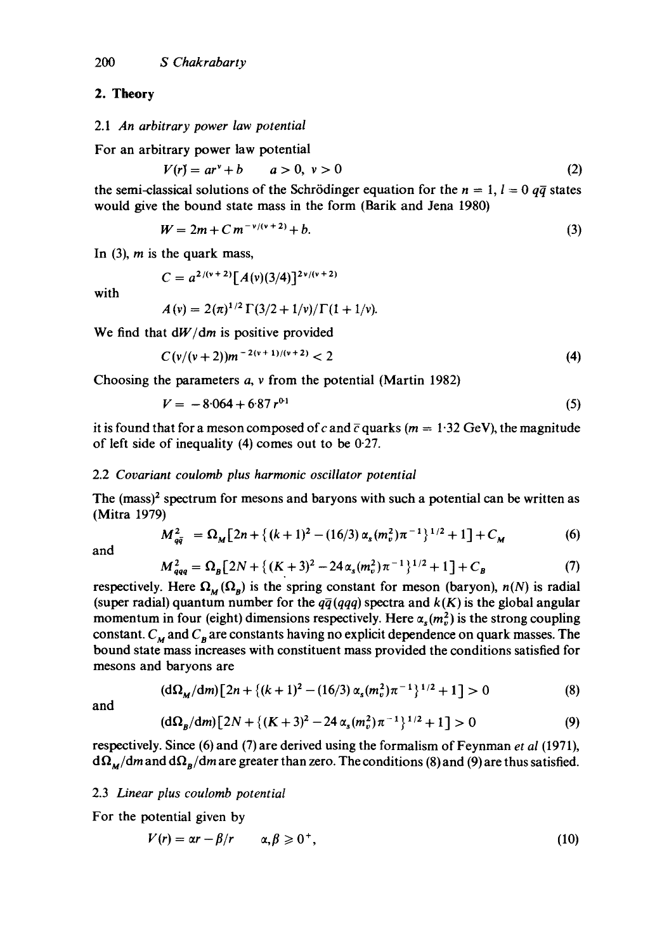#### **2. Theory**

#### *2.1 An arbitrary power law potential*

For an arbitrary power law potential

$$
V(r) = arv + b \qquad a > 0, v > 0
$$
 (2)

the semi-classical solutions of the Schrödinger equation for the  $n = 1$ ,  $l = 0$   $q\bar{q}$  states would give the bound state mass in the form (Barik and Jena 1980)

$$
W = 2m + C m^{-\nu/(\nu+2)} + b. \tag{3}
$$

In  $(3)$ , *m* is the quark mass,

with

$$
C = a^{2/(v+2)} [A(v)(3/4)]^{2v/(v+2)}
$$
  

$$
A(v) = 2(\pi)^{1/2} \Gamma(3/2 + 1/v) / \Gamma(1 + 1/v).
$$

$$
A(v) = 2(\pi)^{-1} [3/2 + 1/v)/1 (1 + 1/2]
$$

We find that *dW/dm* is positive provided

$$
C(v/(v+2))m^{-2(v+1)/(v+2)} < 2
$$
 (4)

Choosing the parameters a, v from the potential (Martin 1982)

$$
V = -8.064 + 6.87 r^{0.1}
$$
 (5)

it is found that for a meson composed of c and  $\bar{c}$  quarks ( $m = 1.32$  GeV), the magnitude of left side of inequality (4) comes out to be 0-27.

## 2.2 *Covariant coulomb plus harmonic oscillator potential*

The (mass)<sup>2</sup> spectrum for mesons and baryons with such a potential can be written as (Mitra 1979)

$$
M_{q\bar{q}}^2 = \Omega_M \left[ 2n + \left\{ (k+1)^2 - (16/3) \alpha_s (m_v^2) \pi^{-1} \right\}^{1/2} + 1 \right] + C_M \tag{6}
$$

and

$$
M_{qqq}^2 = \Omega_B \left[ 2N + \left\{ (K+3)^2 - 24 \alpha_s (m_v^2) \pi^{-1} \right\}^{1/2} + 1 \right] + C_B \tag{7}
$$

respectively. Here  $\Omega_M(\Omega_B)$  is the spring constant for meson (baryon),  $n(N)$  is radial (super radial) quantum number for the  $q\bar{q}(qqq)$  spectra and  $k(K)$  is the global angular momentum in four (eight) dimensions respectively. Here  $\alpha_s(m_\nu^2)$  is the strong coupling constant.  $C_M$  and  $C_B$  are constants having no explicit dependence on quark masses. The bound state mass increases with constituent mass provided the conditions satisfied for mesons and baryons are

$$
(\mathrm{d}\Omega_M/\mathrm{d}m)\big[2n+\{(k+1)^2-(16/3)\alpha_s(m_v^2)\pi^{-1}\}^{1/2}+1\big]>0\tag{8}
$$

and

$$
(\mathrm{d}\Omega_B/\mathrm{d}m)[2N + \{(K+3)^2 - 24\alpha_s(m_v^2)\pi^{-1}\}^{1/2} + 1] > 0 \tag{9}
$$

respectively. Since (6) and (7) are derived using the formalism of Feynman *et al* (1971),  $d\Omega_{M}/dm$  and  $d\Omega_{R}/dm$  are greater than zero. The conditions (8) and (9) are thus satisfied.

#### 2.3 *Linear plus coulomb potential*

For the potential given by

$$
V(r) = \alpha r - \beta/r \qquad \alpha, \beta \geq 0^+, \tag{10}
$$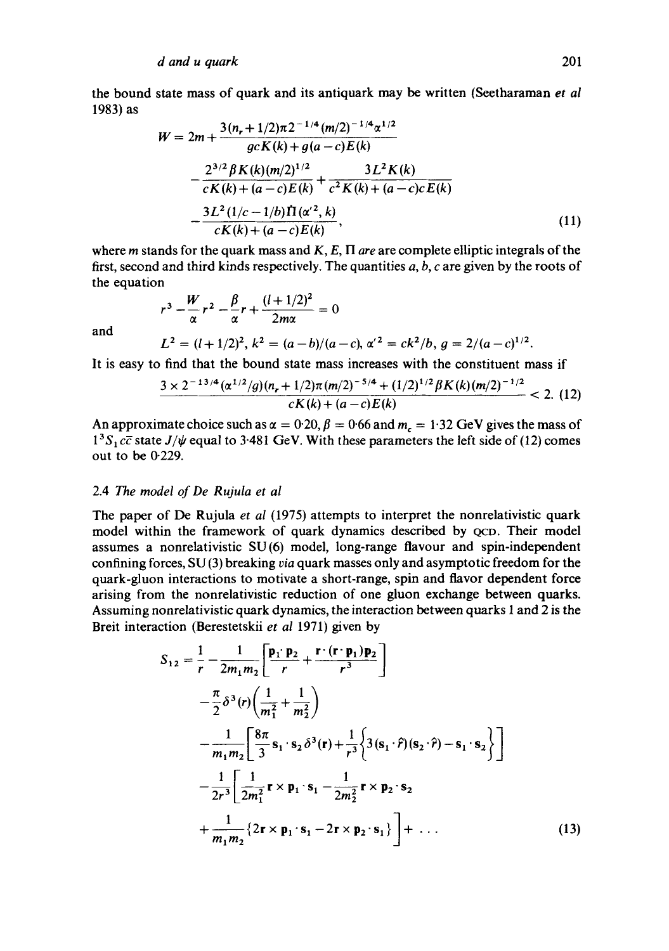the bound state mass of quark and its antiquark may be written (Seetharaman *et al*  1983) as

$$
W = 2m + \frac{3(n_r + 1/2)\pi 2^{-1/4} (m/2)^{-1/4} \alpha^{1/2}}{gcK(k) + g(a-c)E(k)}
$$
  

$$
- \frac{2^{3/2} \beta K(k) (m/2)^{1/2}}{cK(k) + (a-c)E(k)} + \frac{3L^2 K(k)}{c^2 K(k) + (a-c)c E(k)}
$$
  

$$
- \frac{3L^2 (1/c - 1/b) \Pi(\alpha'^2, k)}{cK(k) + (a-c)E(k)},
$$
(11)

where  $m$  stands for the quark mass and  $K$ ,  $E$ ,  $\Pi$  *are* are complete elliptic integrals of the first, second and third kinds respectively. The quantities  $a, b, c$  are given by the roots of the equation

and

$$
L2 = (l + 1/2)2, k2 = (a - b)/(a - c), \alpha'2 = ck2/b, g = 2/(a - c)1/2.
$$

It is easy to find that the bound state mass increases with the constituent mass if

 $r^3 - w^2r^2 - p^2r + \frac{(1+1/2)^2}{r^2} = 0$  $\alpha$  a 2m $\alpha$ 

$$
\frac{3 \times 2^{-13/4} (\alpha^{1/2}/g) (n_r+1/2) \pi (m/2)^{-5/4} + (1/2)^{1/2} \beta K(k) (m/2)^{-1/2}}{c K(k) + (a-c) E(k)} < 2. \tag{12}
$$

An approximate choice such as  $\alpha = 0.20$ ,  $\beta = 0.66$  and  $m_c = 1.32$  GeV gives the mass of  $1<sup>3</sup>S<sub>1</sub>$  *c* $\bar{c}$  state *J/* $\psi$  equal to 3.481 GeV. With these parameters the left side of (12) comes out to be 0-229.

## 2.4 The *model of De Rujula et al*

The paper of De Rujula *et al* (1975) attempts to interpret the nonrelativistic quark model within the framework of quark dynamics described by QCD. Their model assumes a nonrelativistic SU(6) model, long-range flavour and spin-independent confining forces, SU (3) breaking *via* quark masses only and asymptotic freedom for the quark-gluon interactions to motivate a short-range, spin and flavor dependent force arising from the nonrelativistic reduction of one gluon exchange between quarks. Assuming nonrelativistic quark dynamics, the interaction between quarks 1 and 2 is the Breit interaction (Berestetskii *et al* 1971) given by

$$
S_{12} = \frac{1}{r} - \frac{1}{2m_1m_2} \left[ \frac{\mathbf{p}_1 \cdot \mathbf{p}_2}{r} + \frac{\mathbf{r} \cdot (\mathbf{r} \cdot \mathbf{p}_1) \mathbf{p}_2}{r^3} \right]
$$
  
\n
$$
- \frac{\pi}{2} \delta^3(r) \left( \frac{1}{m_1^2} + \frac{1}{m_2^2} \right)
$$
  
\n
$$
- \frac{1}{m_1m_2} \left[ \frac{8\pi}{3} \mathbf{s}_1 \cdot \mathbf{s}_2 \delta^3(\mathbf{r}) + \frac{1}{r^3} \left\{ 3(\mathbf{s}_1 \cdot \hat{r})(\mathbf{s}_2 \cdot \hat{r}) - \mathbf{s}_1 \cdot \mathbf{s}_2 \right\} \right]
$$
  
\n
$$
- \frac{1}{2r^3} \left[ \frac{1}{2m_1^2} \mathbf{r} \times \mathbf{p}_1 \cdot \mathbf{s}_1 - \frac{1}{2m_2^2} \mathbf{r} \times \mathbf{p}_2 \cdot \mathbf{s}_2 \right]
$$
  
\n
$$
+ \frac{1}{m_1m_2} \left\{ 2\mathbf{r} \times \mathbf{p}_1 \cdot \mathbf{s}_1 - 2\mathbf{r} \times \mathbf{p}_2 \cdot \mathbf{s}_1 \right\} \right] + \dots
$$
(13)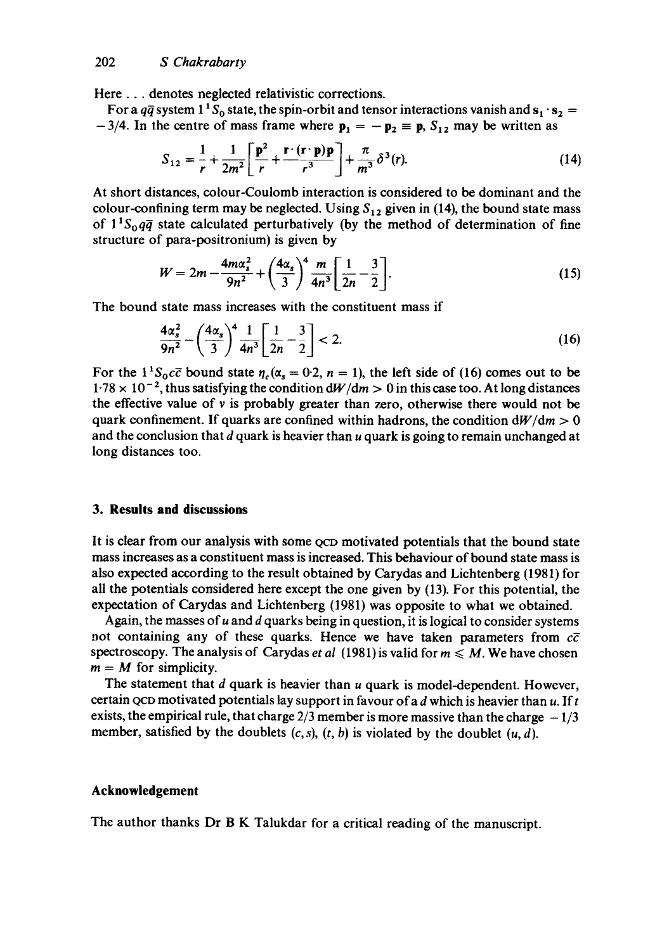Here... denotes neglected relativistic corrections.

For a  $q\bar{q}$  system 1<sup>1</sup> S<sub>0</sub> state, the spin-orbit and tensor interactions vanish and  $s_1 \cdot s_2 =$  $-3/4$ . In the centre of mass frame where  $p_1 = -p_2 \equiv p$ ,  $S_{12}$  may be written as

$$
S_{12} = \frac{1}{r} + \frac{1}{2m^2} \left[ \frac{\mathbf{p}^2}{r} + \frac{\mathbf{r} \cdot (\mathbf{r} \cdot \mathbf{p}) \mathbf{p}}{r^3} \right] + \frac{\pi}{m^3} \delta^3(r). \tag{14}
$$

At short distances, colour-Coulomb interaction is considered to be dominant and the colour-confining term may be neglected. Using  $S_{12}$  given in (14), the bound state mass of  $1^1S_0q\bar{q}$  state calculated perturbatively (by the method of determination of fine structure of para-positronium) is given by

$$
W = 2m - \frac{4m\alpha_s^2}{9n^2} + \left(\frac{4\alpha_s}{3}\right)^4 \frac{m}{4n^3} \left[\frac{1}{2n} - \frac{3}{2}\right].
$$
 (15)

The bound state mass increases with the constituent mass if

$$
\frac{4\alpha_s^2}{9n^2} - \left(\frac{4\alpha_s}{3}\right)^4 \frac{1}{4n^3} \left[\frac{1}{2n} - \frac{3}{2}\right] < 2. \tag{16}
$$

For the  $1^1S_0c\bar{c}$  bound state  $\eta_c(\alpha_s = 0.2, n = 1)$ , the left side of (16) comes out to be  $1.78 \times 10^{-2}$ , thus satisfying the condition  $dW/dm > 0$  in this case too. At long distances the effective value of v is probably greater than zero, otherwise there would not be quark confinement. If quarks are confined within hadrons, the condition  $\frac{dW}{dm} > 0$ and the conclusion that  $d$  quark is heavier than  $u$  quark is going to remain unchanged at long distances too.

## **3. Results and discussions**

It is clear from our analysis with some QCD motivated potentials that the bound state mass increases as a constituent mass is increased. This behaviour of bound state mass is also expected according to the result obtained by Carydas and Lichtenberg (1981) for all the potentials considered here except the one given by (13). For this potential, the expectation of Carydas and Lichtenberg (1981) was opposite to what we obtained.

Again, the masses of  $u$  and  $d$  quarks being in question, it is logical to consider systems not containing any of these quarks. Hence we have taken parameters from  $c\bar{c}$ spectroscopy. The analysis of Carydas *et al* (1981) is valid for  $m \le M$ . We have chosen  $m = M$  for simplicity.

The statement that  $d$  quark is heavier than  $u$  quark is model-dependent. However, certain QCD motivated potentials lay support in favour of a  $d$  which is heavier than  $u$ . If  $t$ exists, the empirical rule, that charge  $2/3$  member is more massive than the charge  $-1/3$ member, satisfied by the doublets  $(c, s)$ ,  $(t, b)$  is violated by the doublet  $(u, d)$ .

#### **Acknowledgement**

The author thanks Dr B K Talukdar for a critical reading of the manuscript.